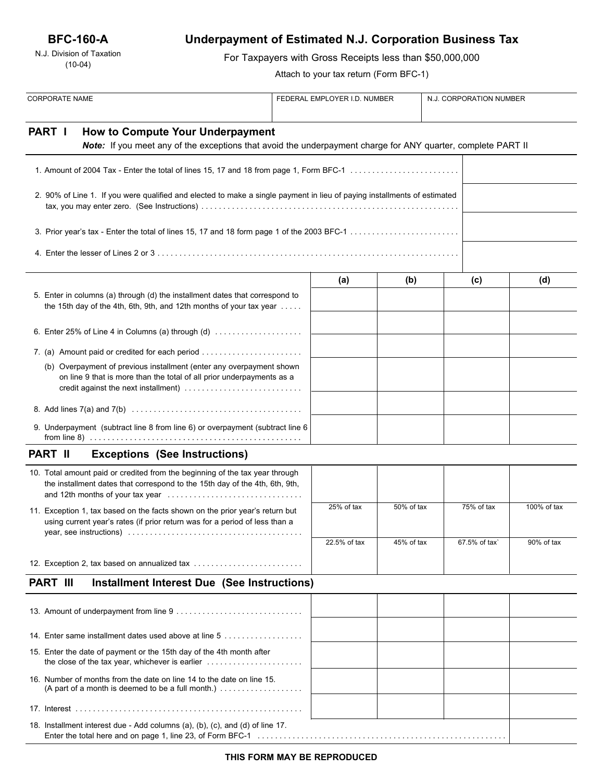## **BFC-160-A**

N.J. Division of Taxation (10-04)

# **Underpayment of Estimated N.J. Corporation Business Tax**

For Taxpayers with Gross Receipts less than \$50,000,000

Attach to your tax return (Form BFC-1)

| <b>CORPORATE NAME</b> |                                                                                                                                                                                       | FEDERAL EMPLOYER I.D. NUMBER |              |            | N.J. CORPORATION NUMBER |               |             |
|-----------------------|---------------------------------------------------------------------------------------------------------------------------------------------------------------------------------------|------------------------------|--------------|------------|-------------------------|---------------|-------------|
| PART I                |                                                                                                                                                                                       |                              |              |            |                         |               |             |
|                       | How to Compute Your Underpayment<br>Note: If you meet any of the exceptions that avoid the underpayment charge for ANY quarter, complete PART II                                      |                              |              |            |                         |               |             |
|                       |                                                                                                                                                                                       |                              |              |            |                         |               |             |
|                       | 2. 90% of Line 1. If you were qualified and elected to make a single payment in lieu of paying installments of estimated                                                              |                              |              |            |                         |               |             |
|                       |                                                                                                                                                                                       |                              |              |            |                         |               |             |
|                       |                                                                                                                                                                                       |                              |              |            |                         |               |             |
|                       |                                                                                                                                                                                       |                              | (a)          | (b)        |                         | (c)           | (d)         |
|                       | 5. Enter in columns (a) through (d) the installment dates that correspond to<br>the 15th day of the 4th, 6th, 9th, and 12th months of your tax year $\dots$ .                         |                              |              |            |                         |               |             |
|                       | 6. Enter 25% of Line 4 in Columns (a) through (d) $\ldots$                                                                                                                            |                              |              |            |                         |               |             |
|                       |                                                                                                                                                                                       |                              |              |            |                         |               |             |
|                       | (b) Overpayment of previous installment (enter any overpayment shown<br>on line 9 that is more than the total of all prior underpayments as a<br>credit against the next installment) |                              |              |            |                         |               |             |
|                       |                                                                                                                                                                                       |                              |              |            |                         |               |             |
|                       | 9. Underpayment (subtract line 8 from line 6) or overpayment (subtract line 6                                                                                                         |                              |              |            |                         |               |             |
| <b>PART II</b>        | <b>Exceptions (See Instructions)</b>                                                                                                                                                  |                              |              |            |                         |               |             |
|                       | 10. Total amount paid or credited from the beginning of the tax year through<br>the installment dates that correspond to the 15th day of the 4th, 6th, 9th,                           |                              |              |            |                         |               |             |
|                       | 11. Exception 1, tax based on the facts shown on the prior year's return but<br>using current year's rates (if prior return was for a period of less than a                           |                              | 25% of tax   | 50% of tax |                         | 75% of tax    | 100% of tax |
|                       |                                                                                                                                                                                       |                              | 22.5% of tax | 45% of tax |                         | 67.5% of tax` | 90% of tax  |
|                       | 12. Exception 2, tax based on annualized tax                                                                                                                                          |                              |              |            |                         |               |             |
| <b>PART III</b>       | <b>Installment Interest Due (See Instructions)</b>                                                                                                                                    |                              |              |            |                         |               |             |
|                       |                                                                                                                                                                                       |                              |              |            |                         |               |             |
|                       | 14. Enter same installment dates used above at line 5                                                                                                                                 |                              |              |            |                         |               |             |
|                       | 15. Enter the date of payment or the 15th day of the 4th month after<br>the close of the tax year, whichever is earlier $\ldots \ldots \ldots \ldots \ldots \ldots$                   |                              |              |            |                         |               |             |
|                       | 16. Number of months from the date on line 14 to the date on line 15.                                                                                                                 |                              |              |            |                         |               |             |
|                       |                                                                                                                                                                                       |                              |              |            |                         |               |             |
|                       | 18. Installment interest due - Add columns (a), (b), (c), and (d) of line 17.                                                                                                         |                              |              |            |                         |               |             |